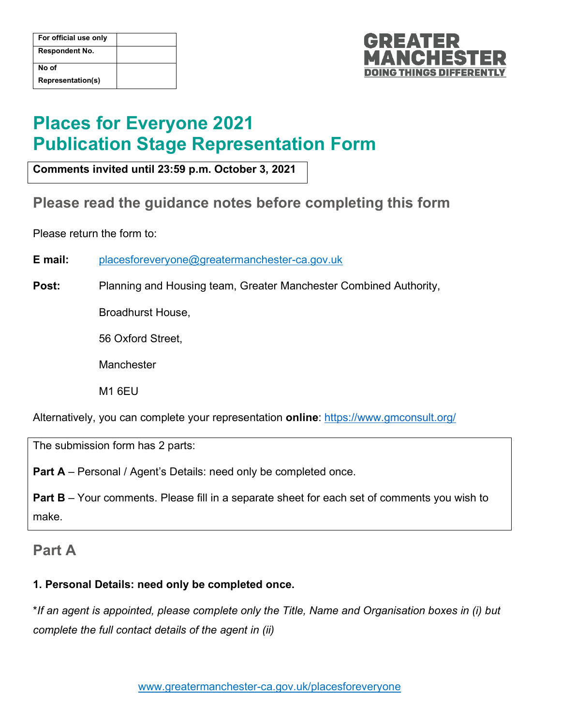| For official use only |  |
|-----------------------|--|
| <b>Respondent No.</b> |  |
| No of                 |  |
| Representation(s)     |  |



# **Places for Everyone 2021 Publication Stage Representation Form**

**Comments invited until 23:59 p.m. October 3, 2021**

## **Please read the guidance notes before completing this form**

Please return the form to:

**E mail:** [placesforeveryone@greatermanchester-ca.gov.uk](mailto:placesforeveryone@greatermanchester-ca.gov.uk)

**Post:** Planning and Housing team, Greater Manchester Combined Authority,

Broadhurst House,

56 Oxford Street,

Manchester

M1 6EU

Alternatively, you can complete your representation **online**: <https://www.gmconsult.org/>

The submission form has 2 parts:

Part A – Personal / Agent's Details: need only be completed once.

**Part B** – Your comments. Please fill in a separate sheet for each set of comments you wish to make.

### **Part A**

#### **1. Personal Details: need only be completed once.**

\**If an agent is appointed, please complete only the Title, Name and Organisation boxes in (i) but complete the full contact details of the agent in (ii)*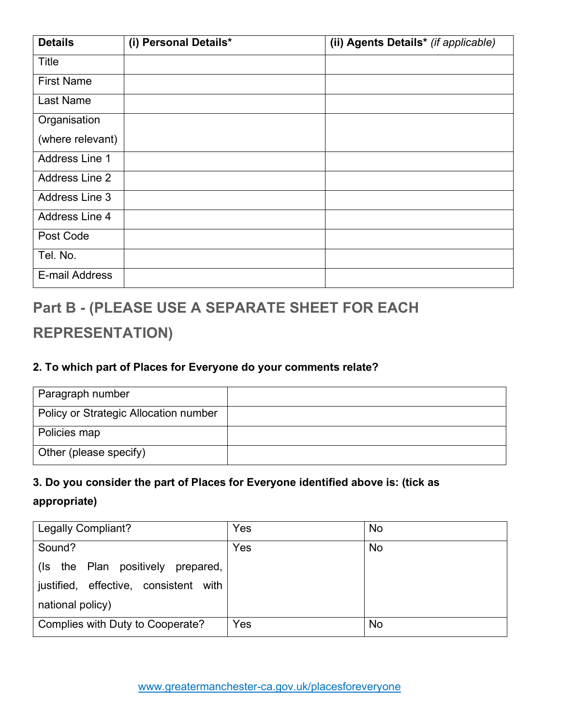| <b>Details</b>        | (i) Personal Details* | (ii) Agents Details* (if applicable) |
|-----------------------|-----------------------|--------------------------------------|
| Title                 |                       |                                      |
| <b>First Name</b>     |                       |                                      |
| Last Name             |                       |                                      |
| Organisation          |                       |                                      |
| (where relevant)      |                       |                                      |
| Address Line 1        |                       |                                      |
| <b>Address Line 2</b> |                       |                                      |
| Address Line 3        |                       |                                      |
| Address Line 4        |                       |                                      |
| Post Code             |                       |                                      |
| Tel. No.              |                       |                                      |
| E-mail Address        |                       |                                      |

## **Part B - (PLEASE USE A SEPARATE SHEET FOR EACH**

## **REPRESENTATION)**

#### **2. To which part of Places for Everyone do your comments relate?**

| Paragraph number                      |  |
|---------------------------------------|--|
| Policy or Strategic Allocation number |  |
| Policies map                          |  |
| Other (please specify)                |  |

### **3. Do you consider the part of Places for Everyone identified above is: (tick as**

#### **appropriate)**

| <b>Legally Compliant?</b>             | Yes | No |
|---------------------------------------|-----|----|
| Sound?                                | Yes | No |
| the Plan positively prepared,<br>(Is  |     |    |
| justified, effective, consistent with |     |    |
| national policy)                      |     |    |
| Complies with Duty to Cooperate?      | Yes | No |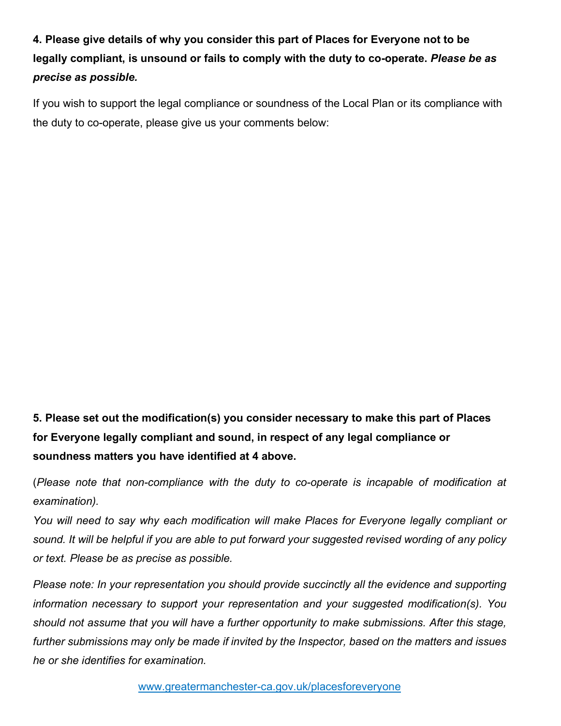**4. Please give details of why you consider this part of Places for Everyone not to be legally compliant, is unsound or fails to comply with the duty to co-operate.** *Please be as precise as possible.*

If you wish to support the legal compliance or soundness of the Local Plan or its compliance with the duty to co-operate, please give us your comments below:

**5. Please set out the modification(s) you consider necessary to make this part of Places for Everyone legally compliant and sound, in respect of any legal compliance or soundness matters you have identified at 4 above.** 

(*Please note that non-compliance with the duty to co-operate is incapable of modification at examination).* 

*You will need to say why each modification will make Places for Everyone legally compliant or sound. It will be helpful if you are able to put forward your suggested revised wording of any policy or text. Please be as precise as possible.*

*Please note: In your representation you should provide succinctly all the evidence and supporting information necessary to support your representation and your suggested modification(s). You should not assume that you will have a further opportunity to make submissions. After this stage, further submissions may only be made if invited by the Inspector, based on the matters and issues he or she identifies for examination.*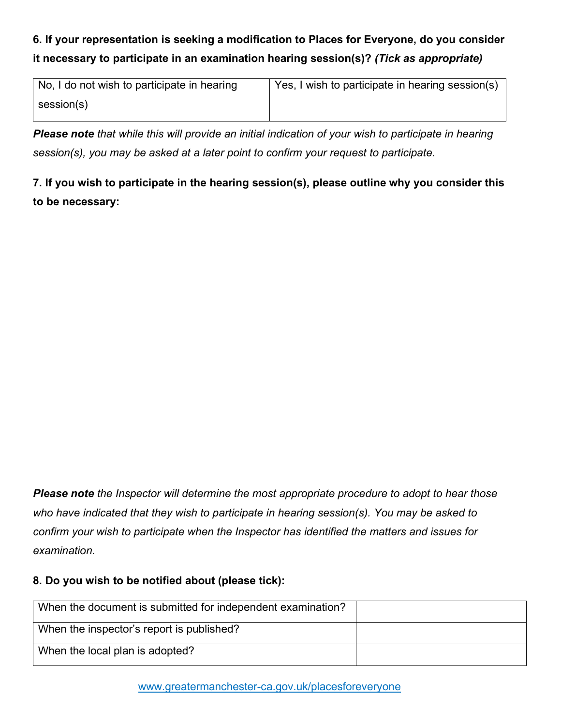## **6. If your representation is seeking a modification to Places for Everyone, do you consider it necessary to participate in an examination hearing session(s)?** *(Tick as appropriate)*

| No, I do not wish to participate in hearing | Yes, I wish to participate in hearing session(s) |
|---------------------------------------------|--------------------------------------------------|
| $\mathsf{session}(\mathsf{s})$              |                                                  |

*Please note that while this will provide an initial indication of your wish to participate in hearing session(s), you may be asked at a later point to confirm your request to participate.*

## **7. If you wish to participate in the hearing session(s), please outline why you consider this to be necessary:**

*Please note the Inspector will determine the most appropriate procedure to adopt to hear those who have indicated that they wish to participate in hearing session(s). You may be asked to confirm your wish to participate when the Inspector has identified the matters and issues for examination.*

#### **8. Do you wish to be notified about (please tick):**

| When the document is submitted for independent examination? |  |
|-------------------------------------------------------------|--|
| When the inspector's report is published?                   |  |
| When the local plan is adopted?                             |  |